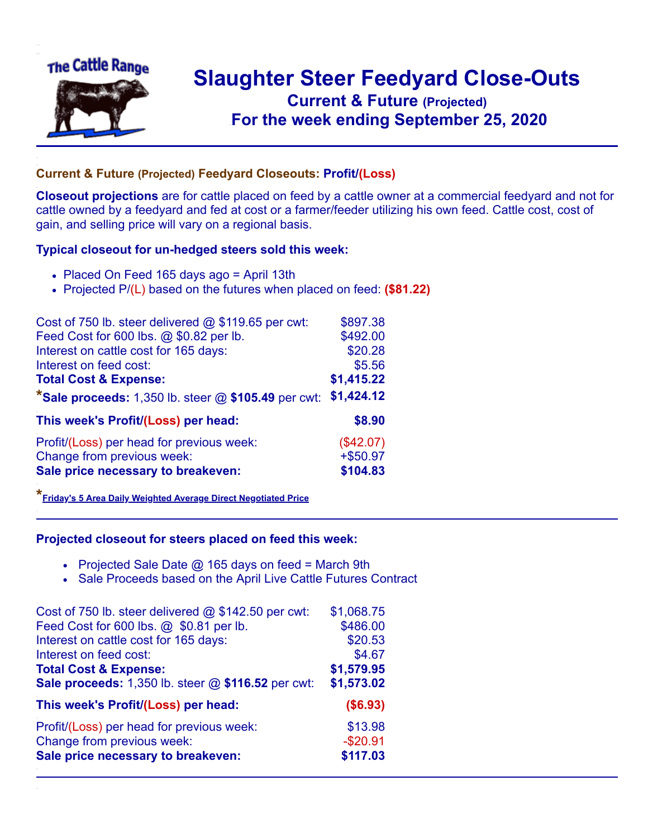

## **Slaughter Steer Feedyard Close-Outs Current & Future (Projected)** .**For the week ending September 25, 2020**

## **Current & Future (Projected) Feedyard Closeouts: Profit/(Loss)**

**Closeout projections** are for cattle placed on feed by a cattle owner at a commercial feedyard and not for cattle owned by a feedyard and fed at cost or a farmer/feeder utilizing his own feed. Cattle cost, cost of gain, and selling price will vary on a regional basis.

## **Typical closeout for un-hedged steers sold this week:**

- Placed On Feed 165 days ago = April 13th
- Projected P/(L) based on the futures when placed on feed: **(\$81.22)**

| Cost of 750 lb. steer delivered @ \$119.65 per cwt:     | \$897.38    |
|---------------------------------------------------------|-------------|
| Feed Cost for 600 lbs. @ \$0.82 per lb.                 | \$492.00    |
| Interest on cattle cost for 165 days:                   | \$20.28     |
| Interest on feed cost:                                  | \$5.56      |
| <b>Total Cost &amp; Expense:</b>                        | \$1,415.22  |
| *Sale proceeds: $1,350$ lb. steer $@$ \$105.49 per cwt: | \$1,424.12  |
| This week's Profit/(Loss) per head:                     | \$8.90      |
| Profit/(Loss) per head for previous week:               | (\$42.07)   |
| Change from previous week:                              | $+$ \$50.97 |
| Sale price necessary to breakeven:                      | \$104.83    |

**\*[Friday's 5 Area Daily Weighted Average Direct Negotiated Price](https://www.ams.usda.gov/mnreports/ams_2466.pdf)**

## **Projected closeout for steers placed on feed this week:**

- Projected Sale Date  $@$  165 days on feed = March 9th
- Sale Proceeds based on the April Live Cattle Futures Contract

| Cost of 750 lb. steer delivered @ \$142.50 per cwt: | \$1,068.75 |
|-----------------------------------------------------|------------|
| Feed Cost for 600 lbs. @ \$0.81 per lb.             | \$486.00   |
| Interest on cattle cost for 165 days:               | \$20.53    |
| Interest on feed cost:                              | \$4.67     |
| <b>Total Cost &amp; Expense:</b>                    | \$1,579.95 |
| Sale proceeds: 1,350 lb. steer @ \$116.52 per cwt:  | \$1,573.02 |
|                                                     |            |
| This week's Profit/(Loss) per head:                 | (\$6.93)   |
| Profit/(Loss) per head for previous week:           | \$13.98    |
| Change from previous week:                          | $-$20.91$  |
| Sale price necessary to breakeven:                  | \$117.03   |